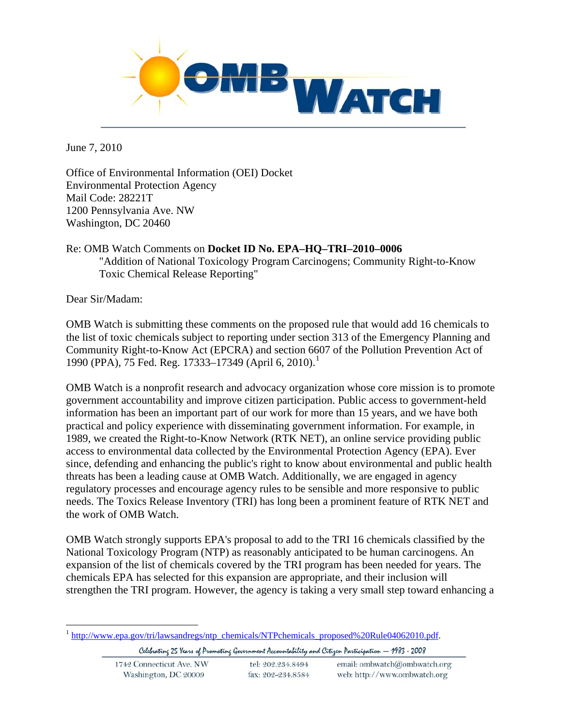

June 7, 2010

Office of Environmental Information (OEI) Docket Environmental Protection Agency Mail Code: 28221T 1200 Pennsylvania Ave. NW Washington, DC 20460

#### Re: OMB Watch Comments on **Docket ID No. EPA–HQ–TRI–2010–0006** "Addition of National Toxicology Program Carcinogens; Community Right-to-Know Toxic Chemical Release Reporting"

Dear Sir/Madam:

<u>.</u>

OMB Watch is submitting these comments on the proposed rule that would add 16 chemicals to the list of toxic chemicals subject to reporting under section 313 of the Emergency Planning and Community Right-to-Know Act (EPCRA) and section 6607 of the Pollution Prevention Act of [1](#page-0-0)990 (PPA), 75 Fed. Reg. 17333–17349 (April 6, 2010).<sup>1</sup>

OMB Watch is a nonprofit research and advocacy organization whose core mission is to promote government accountability and improve citizen participation. Public access to government-held information has been an important part of our work for more than 15 years, and we have both practical and policy experience with disseminating government information. For example, in 1989, we created the Right-to-Know Network (RTK NET), an online service providing public access to environmental data collected by the Environmental Protection Agency (EPA). Ever since, defending and enhancing the public's right to know about environmental and public health threats has been a leading cause at OMB Watch. Additionally, we are engaged in agency regulatory processes and encourage agency rules to be sensible and more responsive to public needs. The Toxics Release Inventory (TRI) has long been a prominent feature of RTK NET and the work of OMB Watch.

OMB Watch strongly supports EPA's proposal to add to the TRI 16 chemicals classified by the National Toxicology Program (NTP) as reasonably anticipated to be human carcinogens. An expansion of the list of chemicals covered by the TRI program has been needed for years. The chemicals EPA has selected for this expansion are appropriate, and their inclusion will strengthen the TRI program. However, the agency is taking a very small step toward enhancing a

<span id="page-0-0"></span><sup>&</sup>lt;sup>1</sup> [http://www.epa.gov/tri/lawsandregs/ntp\\_chemicals/NTPchemicals\\_proposed%20Rule04062010.pdf.](http://www.epa.gov/tri/lawsandregs/ntp_chemicals/NTPchemicals_proposed%20Rule04062010.pdf)

Celebrating 25 Years of Promoting Government Accountability and Citizen Participation - 1983 - 2008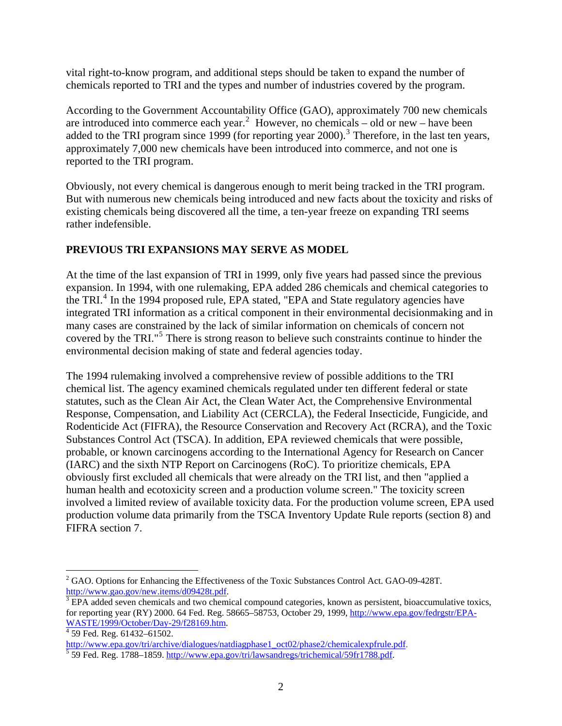vital right-to-know program, and additional steps should be taken to expand the number of chemicals reported to TRI and the types and number of industries covered by the program.

According to the Government Accountability Office (GAO), approximately 700 new chemicals are introduced into commerce each year.<sup>[2](#page-1-0)</sup> However, no chemicals – old or new – have been added to the TRI program since 1999 (for reporting year  $2000$ ).<sup>[3](#page-1-1)</sup> Therefore, in the last ten years, approximately 7,000 new chemicals have been introduced into commerce, and not one is reported to the TRI program.

Obviously, not every chemical is dangerous enough to merit being tracked in the TRI program. But with numerous new chemicals being introduced and new facts about the toxicity and risks of existing chemicals being discovered all the time, a ten-year freeze on expanding TRI seems rather indefensible.

#### **PREVIOUS TRI EXPANSIONS MAY SERVE AS MODEL**

At the time of the last expansion of TRI in 1999, only five years had passed since the previous expansion. In 1994, with one rulemaking, EPA added 286 chemicals and chemical categories to the TRI.<sup>[4](#page-1-2)</sup> In the 1994 proposed rule, EPA stated, "EPA and State regulatory agencies have integrated TRI information as a critical component in their environmental decisionmaking and in many cases are constrained by the lack of similar information on chemicals of concern not covered by the TRI."<sup>[5](#page-1-3)</sup> There is strong reason to believe such constraints continue to hinder the environmental decision making of state and federal agencies today.

The 1994 rulemaking involved a comprehensive review of possible additions to the TRI chemical list. The agency examined chemicals regulated under ten different federal or state statutes, such as the Clean Air Act, the Clean Water Act, the Comprehensive Environmental Response, Compensation, and Liability Act (CERCLA), the Federal Insecticide, Fungicide, and Rodenticide Act (FIFRA), the Resource Conservation and Recovery Act (RCRA), and the Toxic Substances Control Act (TSCA). In addition, EPA reviewed chemicals that were possible, probable, or known carcinogens according to the International Agency for Research on Cancer (IARC) and the sixth NTP Report on Carcinogens (RoC). To prioritize chemicals, EPA obviously first excluded all chemicals that were already on the TRI list, and then "applied a human health and ecotoxicity screen and a production volume screen." The toxicity screen involved a limited review of available toxicity data. For the production volume screen, EPA used production volume data primarily from the TSCA Inventory Update Rule reports (section 8) and FIFRA section 7.

 $\overline{a}$ 

<span id="page-1-0"></span><sup>&</sup>lt;sup>2</sup> GAO. Options for Enhancing the Effectiveness of the Toxic Substances Control Act. GAO-09-428T. [http://www.gao.gov/new.items/d09428t.pdf.](http://www.gao.gov/new.items/d09428t.pdf)

<span id="page-1-1"></span><sup>&</sup>lt;sup>3</sup> EPA added seven chemicals and two chemical compound categories, known as persistent, bioaccumulative toxics, for reporting year (RY) 2000. 64 Fed. Reg. 58665–58753, October 29, 1999, [http://www.epa.gov/fedrgstr/EPA-](http://www.epa.gov/fedrgstr/EPA-WASTE/1999/October/Day-29/f28169.htm)[WASTE/1999/October/Day-29/f28169.htm](http://www.epa.gov/fedrgstr/EPA-WASTE/1999/October/Day-29/f28169.htm). [4](http://www.epa.gov/fedrgstr/EPA-WASTE/1999/October/Day-29/f28169.htm)

<span id="page-1-2"></span> $\frac{4}{3}$  59 Fed. Reg. 61432–61502.

[http://www.epa.gov/tri/archive/dialogues/natdiagphase1\\_oct02/phase2/chemicalexpfrule.pdf](http://www.epa.gov/tri/archive/dialogues/natdiagphase1_oct02/phase2/chemicalexpfrule.pdf).<br><sup>5</sup> 59 Fed. Reg. 1788–1859. <u>http://www.epa.gov/tri/lawsandregs/trichemical/59fr1788.pdf</u>.

<span id="page-1-3"></span>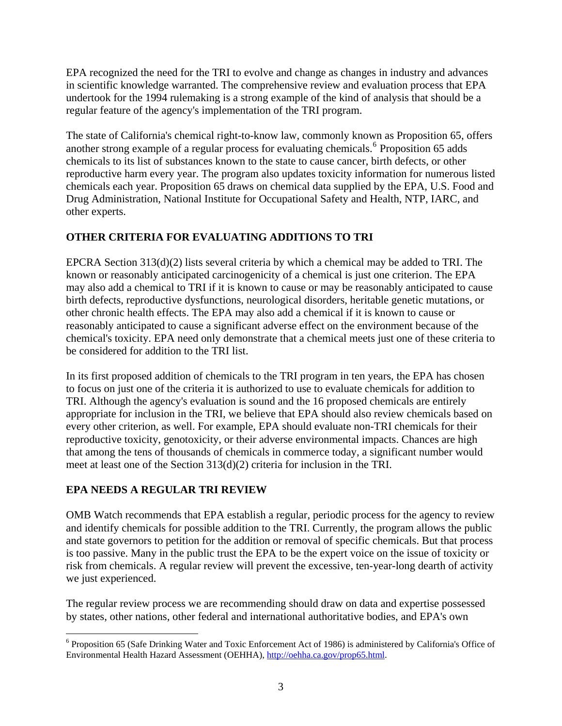EPA recognized the need for the TRI to evolve and change as changes in industry and advances in scientific knowledge warranted. The comprehensive review and evaluation process that EPA undertook for the 1994 rulemaking is a strong example of the kind of analysis that should be a regular feature of the agency's implementation of the TRI program.

The state of California's chemical right-to-know law, commonly known as Proposition 65, offers another strong example of a regular process for evaluating chemicals.<sup>[6](#page-2-0)</sup> Proposition 65 adds chemicals to its list of substances known to the state to cause cancer, birth defects, or other reproductive harm every year. The program also updates toxicity information for numerous listed chemicals each year. Proposition 65 draws on chemical data supplied by the EPA, U.S. Food and Drug Administration, National Institute for Occupational Safety and Health, NTP, IARC, and other experts.

## **OTHER CRITERIA FOR EVALUATING ADDITIONS TO TRI**

EPCRA Section 313(d)(2) lists several criteria by which a chemical may be added to TRI. The known or reasonably anticipated carcinogenicity of a chemical is just one criterion. The EPA may also add a chemical to TRI if it is known to cause or may be reasonably anticipated to cause birth defects, reproductive dysfunctions, neurological disorders, heritable genetic mutations, or other chronic health effects. The EPA may also add a chemical if it is known to cause or reasonably anticipated to cause a significant adverse effect on the environment because of the chemical's toxicity. EPA need only demonstrate that a chemical meets just one of these criteria to be considered for addition to the TRI list.

In its first proposed addition of chemicals to the TRI program in ten years, the EPA has chosen to focus on just one of the criteria it is authorized to use to evaluate chemicals for addition to TRI. Although the agency's evaluation is sound and the 16 proposed chemicals are entirely appropriate for inclusion in the TRI, we believe that EPA should also review chemicals based on every other criterion, as well. For example, EPA should evaluate non-TRI chemicals for their reproductive toxicity, genotoxicity, or their adverse environmental impacts. Chances are high that among the tens of thousands of chemicals in commerce today, a significant number would meet at least one of the Section 313(d)(2) criteria for inclusion in the TRI.

## **EPA NEEDS A REGULAR TRI REVIEW**

1

OMB Watch recommends that EPA establish a regular, periodic process for the agency to review and identify chemicals for possible addition to the TRI. Currently, the program allows the public and state governors to petition for the addition or removal of specific chemicals. But that process is too passive. Many in the public trust the EPA to be the expert voice on the issue of toxicity or risk from chemicals. A regular review will prevent the excessive, ten-year-long dearth of activity we just experienced.

The regular review process we are recommending should draw on data and expertise possessed by states, other nations, other federal and international authoritative bodies, and EPA's own

<span id="page-2-0"></span><sup>&</sup>lt;sup>6</sup> Proposition 65 (Safe Drinking Water and Toxic Enforcement Act of 1986) is administered by California's Office of Environmental Health Hazard Assessment (OEHHA), <http://oehha.ca.gov/prop65.html>.